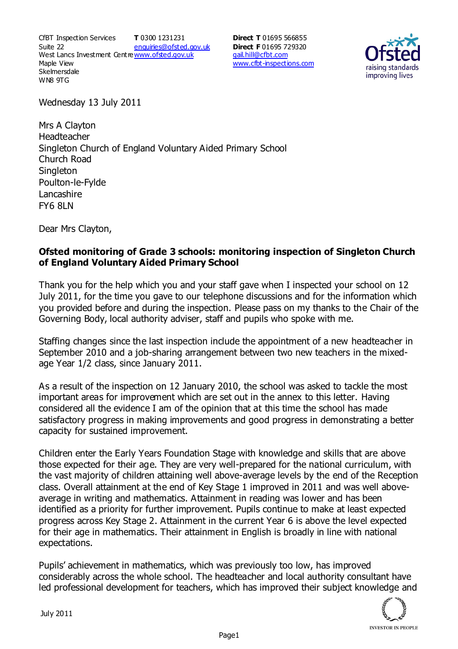CfBT Inspection Services Suite 22 West Lancs Investment Centre<u>www.ofsted.gov.uk</u> Maple View **Skelmersdale** WN8 9TG **T** 0300 1231231 enquiries@ofsted.gov.uk **Direct T** 01695 566855 **Direct F** 01695 729320 gail.hill@cfbt.com www.cfbt-inspections.com



Wednesday 13 July 2011

Mrs A Clayton Headteacher Singleton Church of England Voluntary Aided Primary School Church Road **Singleton** Poulton-le-Fylde **Lancashire** FY6 8LN

Dear Mrs Clayton,

## **Ofsted monitoring of Grade 3 schools: monitoring inspection of Singleton Church of England Voluntary Aided Primary School**

Thank you for the help which you and your staff gave when I inspected your school on 12 July 2011, for the time you gave to our telephone discussions and for the information which you provided before and during the inspection. Please pass on my thanks to the Chair of the Governing Body, local authority adviser, staff and pupils who spoke with me.

Staffing changes since the last inspection include the appointment of a new headteacher in September 2010 and a job-sharing arrangement between two new teachers in the mixedage Year 1/2 class, since January 2011.

As a result of the inspection on 12 January 2010, the school was asked to tackle the most important areas for improvement which are set out in the annex to this letter. Having considered all the evidence I am of the opinion that at this time the school has made satisfactory progress in making improvements and good progress in demonstrating a better capacity for sustained improvement.

Children enter the Early Years Foundation Stage with knowledge and skills that are above those expected for their age. They are very well-prepared for the national curriculum, with the vast majority of children attaining well above-average levels by the end of the Reception class. Overall attainment at the end of Key Stage 1 improved in 2011 and was well aboveaverage in writing and mathematics. Attainment in reading was lower and has been identified as a priority for further improvement. Pupils continue to make at least expected progress across Key Stage 2. Attainment in the current Year 6 is above the level expected for their age in mathematics. Their attainment in English is broadly in line with national expectations.

Pupils' achievement in mathematics, which was previously too low, has improved considerably across the whole school. The headteacher and local authority consultant have led professional development for teachers, which has improved their subject knowledge and

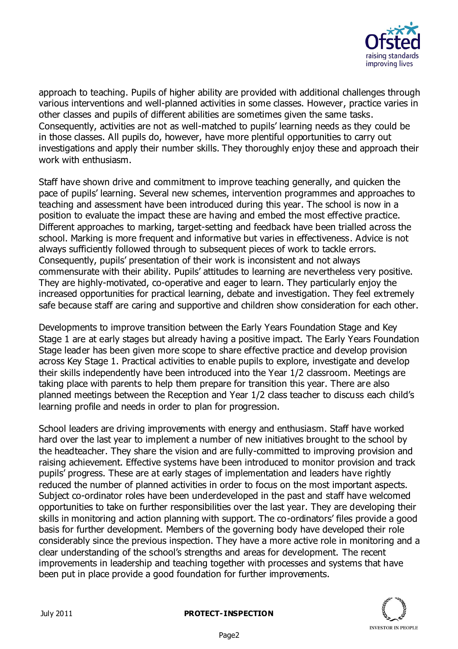

approach to teaching. Pupils of higher ability are provided with additional challenges through various interventions and well-planned activities in some classes. However, practice varies in other classes and pupils of different abilities are sometimes given the same tasks. Consequently, activities are not as well-matched to pupils' learning needs as they could be in those classes. All pupils do, however, have more plentiful opportunities to carry out investigations and apply their number skills. They thoroughly enjoy these and approach their work with enthusiasm.

Staff have shown drive and commitment to improve teaching generally, and quicken the pace of pupils' learning. Several new schemes, intervention programmes and approaches to teaching and assessment have been introduced during this year. The school is now in a position to evaluate the impact these are having and embed the most effective practice. Different approaches to marking, target-setting and feedback have been trialled across the school. Marking is more frequent and informative but varies in effectiveness. Advice is not always sufficiently followed through to subsequent pieces of work to tackle errors. Consequently, pupils' presentation of their work is inconsistent and not always commensurate with their ability. Pupils' attitudes to learning are nevertheless very positive. They are highly-motivated, co-operative and eager to learn. They particularly enjoy the increased opportunities for practical learning, debate and investigation. They feel extremely safe because staff are caring and supportive and children show consideration for each other.

Developments to improve transition between the Early Years Foundation Stage and Key Stage 1 are at early stages but already having a positive impact. The Early Years Foundation Stage leader has been given more scope to share effective practice and develop provision across Key Stage 1. Practical activities to enable pupils to explore, investigate and develop their skills independently have been introduced into the Year 1/2 classroom. Meetings are taking place with parents to help them prepare for transition this year. There are also planned meetings between the Reception and Year 1/2 class teacher to discuss each child's learning profile and needs in order to plan for progression.

School leaders are driving improvements with energy and enthusiasm. Staff have worked hard over the last year to implement a number of new initiatives brought to the school by the headteacher. They share the vision and are fully-committed to improving provision and raising achievement. Effective systems have been introduced to monitor provision and track pupils' progress. These are at early stages of implementation and leaders have rightly reduced the number of planned activities in order to focus on the most important aspects. Subject co-ordinator roles have been underdeveloped in the past and staff have welcomed opportunities to take on further responsibilities over the last year. They are developing their skills in monitoring and action planning with support. The co-ordinators' files provide a good basis for further development. Members of the governing body have developed their role considerably since the previous inspection. They have a more active role in monitoring and a clear understanding of the school's strengths and areas for development. The recent improvements in leadership and teaching together with processes and systems that have been put in place provide a good foundation for further improvements.

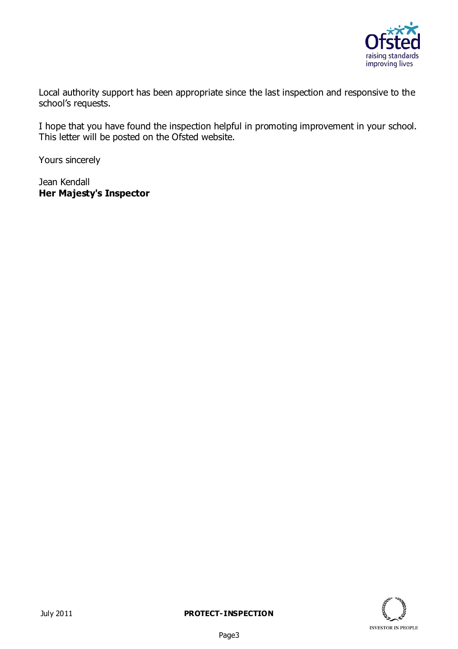

Local authority support has been appropriate since the last inspection and responsive to the school's requests.

I hope that you have found the inspection helpful in promoting improvement in your school. This letter will be posted on the Ofsted website.

Yours sincerely

Jean Kendall **Her Majesty's Inspector**